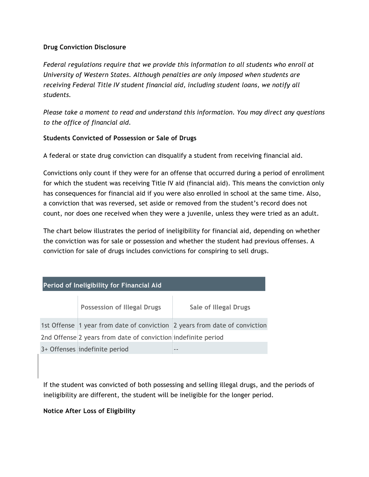## **Drug Conviction Disclosure**

*Federal regulations require that we provide this information to all students who enroll at University of Western States. Although penalties are only imposed when students are receiving Federal Title IV student financial aid, including student loans, we notify all students.*

*Please take a moment to read and understand this information. You may direct any questions to the office of financial aid.*

## **Students Convicted of Possession or Sale of Drugs**

A federal or state drug conviction can disqualify a student from receiving financial aid.

Convictions only count if they were for an offense that occurred during a period of enrollment for which the student was receiving Title IV aid (financial aid). This means the conviction only has consequences for financial aid if you were also enrolled in school at the same time. Also, a conviction that was reversed, set aside or removed from the student's record does not count, nor does one received when they were a juvenile, unless they were tried as an adult.

The chart below illustrates the period of ineligibility for financial aid, depending on whether the conviction was for sale or possession and whether the student had previous offenses. A conviction for sale of drugs includes convictions for conspiring to sell drugs.

| Period of Ineligibility for Financial Aid |                                                               |                                                                            |
|-------------------------------------------|---------------------------------------------------------------|----------------------------------------------------------------------------|
|                                           | <b>Possession of Illegal Drugs</b>                            | <b>Sale of Illegal Drugs</b>                                               |
|                                           |                                                               | 1st Offense 1 year from date of conviction 2 years from date of conviction |
|                                           | 2nd Offense 2 years from date of conviction indefinite period |                                                                            |
|                                           | 3+ Offenses indefinite period                                 | - -                                                                        |

If the student was convicted of both possessing and selling illegal drugs, and the periods of ineligibility are different, the student will be ineligible for the longer period.

## **Notice After Loss of Eligibility**